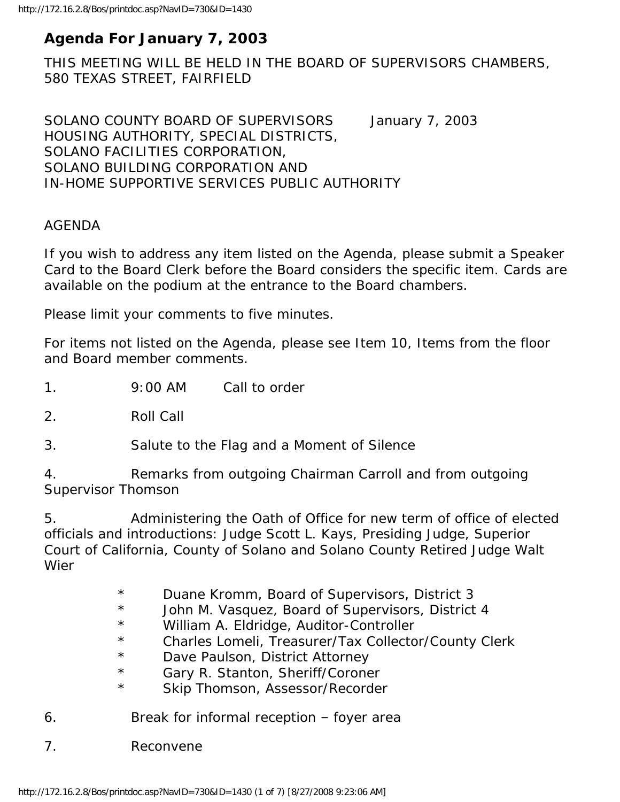# **Agenda For January 7, 2003**

THIS MEETING WILL BE HELD IN THE BOARD OF SUPERVISORS CHAMBERS, 580 TEXAS STREET, FAIRFIELD

SOLANO COUNTY BOARD OF SUPERVISORS January 7, 2003 HOUSING AUTHORITY, SPECIAL DISTRICTS, SOLANO FACILITIES CORPORATION, SOLANO BUILDING CORPORATION AND IN-HOME SUPPORTIVE SERVICES PUBLIC AUTHORITY

#### AGENDA

If you wish to address any item listed on the Agenda, please submit a Speaker Card to the Board Clerk before the Board considers the specific item. Cards are available on the podium at the entrance to the Board chambers.

Please limit your comments to five minutes.

For items not listed on the Agenda, please see Item 10, Items from the floor and Board member comments.

1. 9:00 AM Call to order

2. Roll Call

3. Salute to the Flag and a Moment of Silence

4. Remarks from outgoing Chairman Carroll and from outgoing Supervisor Thomson

5. Administering the Oath of Office for new term of office of elected officials and introductions: Judge Scott L. Kays, Presiding Judge, Superior Court of California, County of Solano and Solano County Retired Judge Walt Wier

- \* Duane Kromm, Board of Supervisors, District 3
- \* John M. Vasquez, Board of Supervisors, District 4
- \* William A. Eldridge, Auditor-Controller
- \* Charles Lomeli, Treasurer/Tax Collector/County Clerk
- \* Dave Paulson, District Attorney
- \* Gary R. Stanton, Sheriff/Coroner
- \* Skip Thomson, Assessor/Recorder
- 6. Break for informal reception foyer area
- 7. Reconvene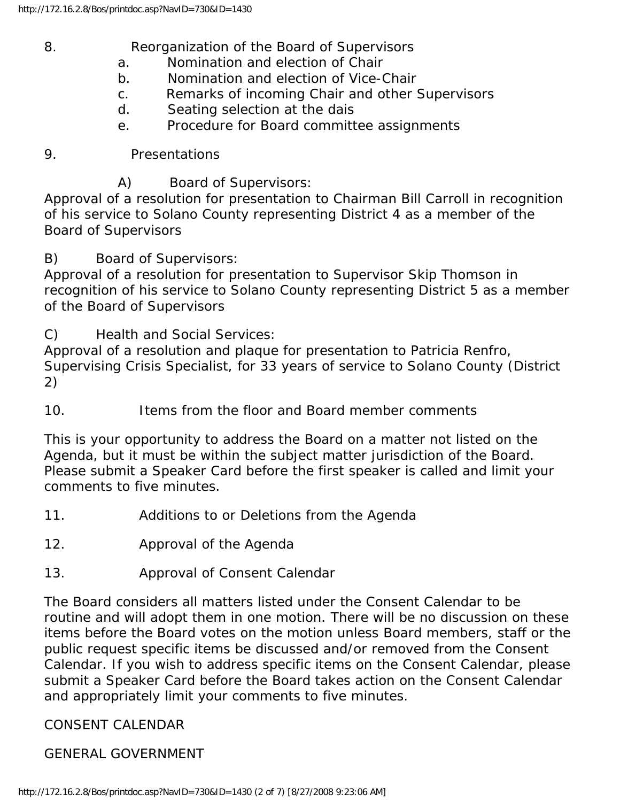8. Reorganization of the Board of Supervisors

- a. Nomination and election of Chair
- b. Nomination and election of Vice-Chair
- c. Remarks of incoming Chair and other Supervisors
- d. Seating selection at the dais
- e. Procedure for Board committee assignments

9. Presentations

A) Board of Supervisors:

Approval of a resolution for presentation to Chairman Bill Carroll in recognition of his service to Solano County representing District 4 as a member of the Board of Supervisors

B) Board of Supervisors:

Approval of a resolution for presentation to Supervisor Skip Thomson in recognition of his service to Solano County representing District 5 as a member of the Board of Supervisors

C) Health and Social Services:

Approval of a resolution and plaque for presentation to Patricia Renfro, Supervising Crisis Specialist, for 33 years of service to Solano County (District 2)

10. Items from the floor and Board member comments

This is your opportunity to address the Board on a matter not listed on the Agenda, but it must be within the subject matter jurisdiction of the Board. Please submit a Speaker Card before the first speaker is called and limit your comments to five minutes.

- 11. Additions to or Deletions from the Agenda
- 12. Approval of the Agenda
- 13. Approval of Consent Calendar

The Board considers all matters listed under the Consent Calendar to be routine and will adopt them in one motion. There will be no discussion on these items before the Board votes on the motion unless Board members, staff or the public request specific items be discussed and/or removed from the Consent Calendar. If you wish to address specific items on the Consent Calendar, please submit a Speaker Card before the Board takes action on the Consent Calendar and appropriately limit your comments to five minutes.

#### CONSENT CALENDAR

#### GENERAL GOVERNMENT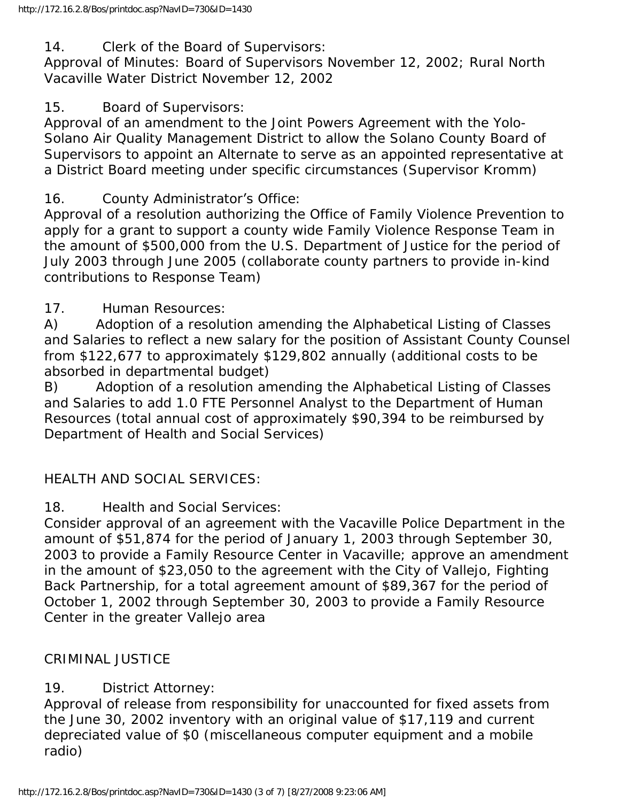14. Clerk of the Board of Supervisors:

Approval of Minutes: Board of Supervisors November 12, 2002; Rural North Vacaville Water District November 12, 2002

### 15. Board of Supervisors:

Approval of an amendment to the Joint Powers Agreement with the Yolo-Solano Air Quality Management District to allow the Solano County Board of Supervisors to appoint an Alternate to serve as an appointed representative at a District Board meeting under specific circumstances (Supervisor Kromm)

## 16. County Administrator's Office:

Approval of a resolution authorizing the Office of Family Violence Prevention to apply for a grant to support a county wide Family Violence Response Team in the amount of \$500,000 from the U.S. Department of Justice for the period of July 2003 through June 2005 (collaborate county partners to provide in-kind contributions to Response Team)

### 17. Human Resources:

A) Adoption of a resolution amending the Alphabetical Listing of Classes and Salaries to reflect a new salary for the position of Assistant County Counsel from \$122,677 to approximately \$129,802 annually (additional costs to be absorbed in departmental budget)

B) Adoption of a resolution amending the Alphabetical Listing of Classes and Salaries to add 1.0 FTE Personnel Analyst to the Department of Human Resources (total annual cost of approximately \$90,394 to be reimbursed by Department of Health and Social Services)

# HEALTH AND SOCIAL SERVICES:

18. Health and Social Services:

Consider approval of an agreement with the Vacaville Police Department in the amount of \$51,874 for the period of January 1, 2003 through September 30, 2003 to provide a Family Resource Center in Vacaville; approve an amendment in the amount of \$23,050 to the agreement with the City of Vallejo, Fighting Back Partnership, for a total agreement amount of \$89,367 for the period of October 1, 2002 through September 30, 2003 to provide a Family Resource Center in the greater Vallejo area

### CRIMINAL JUSTICE

# 19. District Attorney:

Approval of release from responsibility for unaccounted for fixed assets from the June 30, 2002 inventory with an original value of \$17,119 and current depreciated value of \$0 (miscellaneous computer equipment and a mobile radio)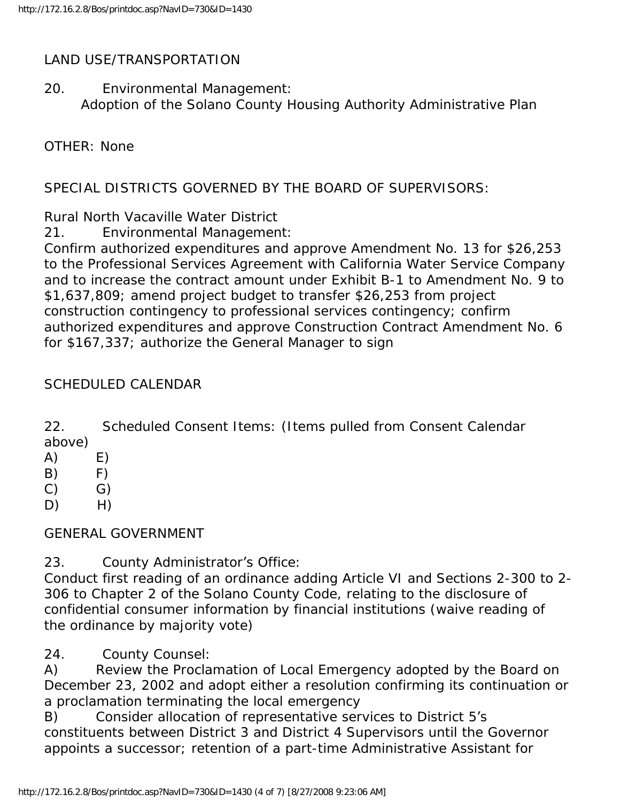#### LAND USE/TRANSPORTATION

20. Environmental Management: Adoption of the Solano County Housing Authority Administrative Plan

OTHER: None

SPECIAL DISTRICTS GOVERNED BY THE BOARD OF SUPERVISORS:

Rural North Vacaville Water District

21. Environmental Management:

Confirm authorized expenditures and approve Amendment No. 13 for \$26,253 to the Professional Services Agreement with California Water Service Company and to increase the contract amount under Exhibit B-1 to Amendment No. 9 to \$1,637,809; amend project budget to transfer \$26,253 from project construction contingency to professional services contingency; confirm authorized expenditures and approve Construction Contract Amendment No. 6 for \$167,337; authorize the General Manager to sign

### SCHEDULED CALENDAR

22. Scheduled Consent Items: (Items pulled from Consent Calendar above)

- $(A)$   $E)$
- $(B)$  F)
- $(C)$   $G)$
- $D)$  H)

GENERAL GOVERNMENT

23. County Administrator's Office:

Conduct first reading of an ordinance adding Article VI and Sections 2-300 to 2- 306 to Chapter 2 of the Solano County Code, relating to the disclosure of confidential consumer information by financial institutions (waive reading of the ordinance by majority vote)

24. County Counsel:

A) Review the Proclamation of Local Emergency adopted by the Board on December 23, 2002 and adopt either a resolution confirming its continuation or a proclamation terminating the local emergency

B) Consider allocation of representative services to District 5's constituents between District 3 and District 4 Supervisors until the Governor appoints a successor; retention of a part-time Administrative Assistant for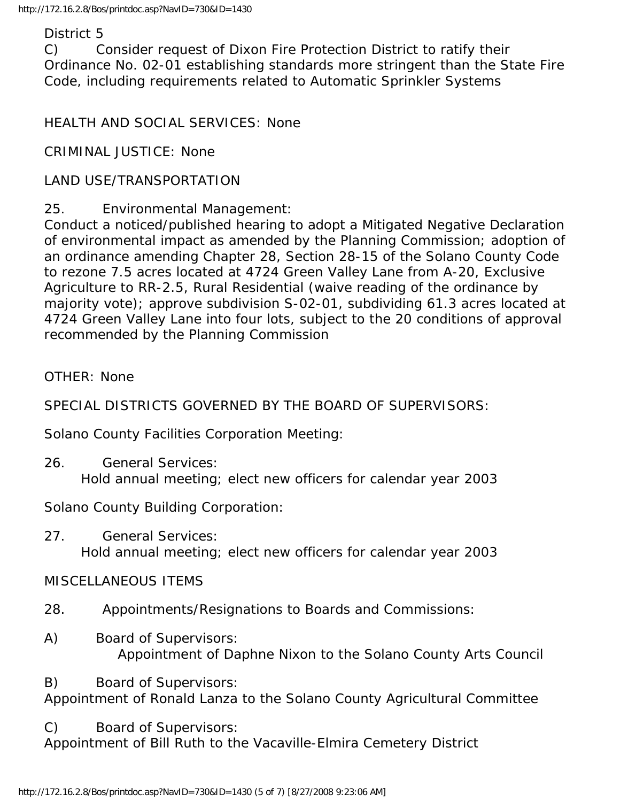#### District 5

C) Consider request of Dixon Fire Protection District to ratify their Ordinance No. 02-01 establishing standards more stringent than the State Fire Code, including requirements related to Automatic Sprinkler Systems

HEALTH AND SOCIAL SERVICES: None

CRIMINAL JUSTICE: None

#### LAND USE/TRANSPORTATION

25. Environmental Management:

Conduct a noticed/published hearing to adopt a Mitigated Negative Declaration of environmental impact as amended by the Planning Commission; adoption of an ordinance amending Chapter 28, Section 28-15 of the Solano County Code to rezone 7.5 acres located at 4724 Green Valley Lane from A-20, Exclusive Agriculture to RR-2.5, Rural Residential (waive reading of the ordinance by majority vote); approve subdivision S-02-01, subdividing 61.3 acres located at 4724 Green Valley Lane into four lots, subject to the 20 conditions of approval recommended by the Planning Commission

OTHER: None

SPECIAL DISTRICTS GOVERNED BY THE BOARD OF SUPERVISORS:

Solano County Facilities Corporation Meeting:

26. General Services: Hold annual meeting; elect new officers for calendar year 2003

Solano County Building Corporation:

27. General Services: Hold annual meeting; elect new officers for calendar year 2003

MISCELLANEOUS ITEMS

- 28. Appointments/Resignations to Boards and Commissions:
- A) Board of Supervisors: Appointment of Daphne Nixon to the Solano County Arts Council

B) Board of Supervisors: Appointment of Ronald Lanza to the Solano County Agricultural Committee

C) Board of Supervisors:

Appointment of Bill Ruth to the Vacaville-Elmira Cemetery District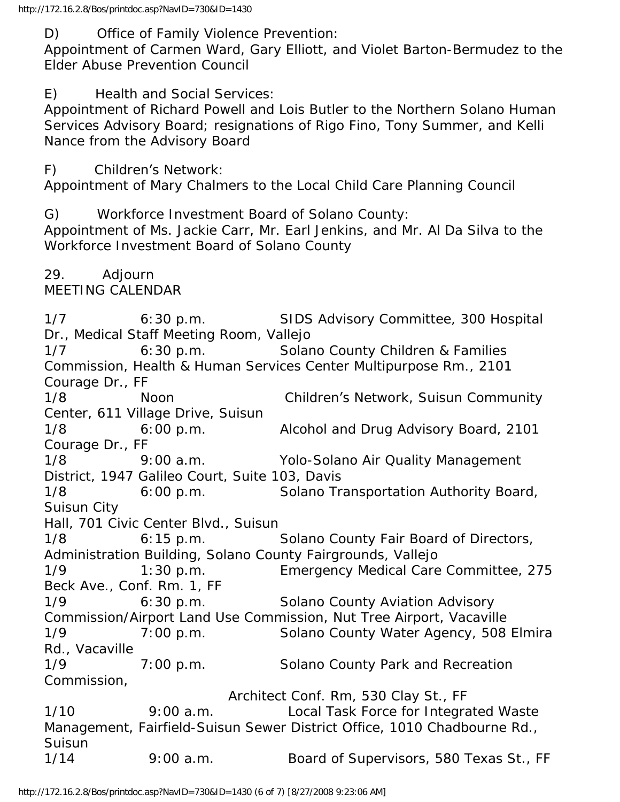D) Office of Family Violence Prevention:

Appointment of Carmen Ward, Gary Elliott, and Violet Barton-Bermudez to the Elder Abuse Prevention Council

E) Health and Social Services:

Appointment of Richard Powell and Lois Butler to the Northern Solano Human Services Advisory Board; resignations of Rigo Fino, Tony Summer, and Kelli Nance from the Advisory Board

F) Children's Network:

Appointment of Mary Chalmers to the Local Child Care Planning Council

G) Workforce Investment Board of Solano County:

Appointment of Ms. Jackie Carr, Mr. Earl Jenkins, and Mr. Al Da Silva to the Workforce Investment Board of Solano County

29. Adjourn MEETING CALENDAR

1/7 6:30 p.m. SIDS Advisory Committee, 300 Hospital Dr., Medical Staff Meeting Room, Vallejo 1/7 6:30 p.m. Solano County Children & Families Commission, Health & Human Services Center Multipurpose Rm., 2101 Courage Dr., FF 1/8 Noon Children's Network, Suisun Community Center, 611 Village Drive, Suisun 1/8 6:00 p.m. Alcohol and Drug Advisory Board, 2101 Courage Dr., FF 1/8 9:00 a.m. Yolo-Solano Air Quality Management District, 1947 Galileo Court, Suite 103, Davis 1/8 6:00 p.m. Solano Transportation Authority Board, Suisun City Hall, 701 Civic Center Blvd., Suisun 1/8 6:15 p.m. Solano County Fair Board of Directors, Administration Building, Solano County Fairgrounds, Vallejo 1/9 1:30 p.m. Emergency Medical Care Committee, 275 Beck Ave., Conf. Rm. 1, FF 1/9 6:30 p.m. Solano County Aviation Advisory Commission/Airport Land Use Commission, Nut Tree Airport, Vacaville 1/9 7:00 p.m. Solano County Water Agency, 508 Elmira Rd., Vacaville 1/9 7:00 p.m. Solano County Park and Recreation Commission, Architect Conf. Rm, 530 Clay St., FF 1/10 9:00 a.m. Local Task Force for Integrated Waste Management, Fairfield-Suisun Sewer District Office, 1010 Chadbourne Rd., Suisun 1/14 9:00 a.m. Board of Supervisors, 580 Texas St., FF